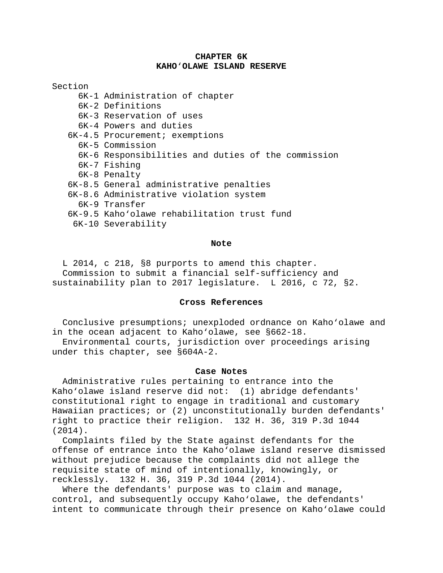## **CHAPTER 6K KAHO**'**OLAWE ISLAND RESERVE**

Section

- 6K-1 Administration of chapter
- 6K-2 Definitions
- 6K-3 Reservation of uses
- 6K-4 Powers and duties
- 6K-4.5 Procurement; exemptions
	- 6K-5 Commission
	- 6K-6 Responsibilities and duties of the commission
	- 6K-7 Fishing
	- 6K-8 Penalty

## 6K-8.5 General administrative penalties

- 6K-8.6 Administrative violation system
- 6K-9 Transfer
- 6K-9.5 Kaho'olawe rehabilitation trust fund
- 6K-10 Severability

#### **Note**

L 2014, c 218, §8 purports to amend this chapter. Commission to submit a financial self-sufficiency and sustainability plan to 2017 legislature. L 2016, c 72, §2.

# **Cross References**

Conclusive presumptions; unexploded ordnance on Kaho'olawe and in the ocean adjacent to Kaho'olawe, see §662-18.

Environmental courts, jurisdiction over proceedings arising under this chapter, see §604A-2.

## **Case Notes**

Administrative rules pertaining to entrance into the Kaho'olawe island reserve did not: (1) abridge defendants' constitutional right to engage in traditional and customary Hawaiian practices; or (2) unconstitutionally burden defendants' right to practice their religion. 132 H. 36, 319 P.3d 1044 (2014).

Complaints filed by the State against defendants for the offense of entrance into the Kaho'olawe island reserve dismissed without prejudice because the complaints did not allege the requisite state of mind of intentionally, knowingly, or recklessly. 132 H. 36, 319 P.3d 1044 (2014).

Where the defendants' purpose was to claim and manage, control, and subsequently occupy Kaho'olawe, the defendants' intent to communicate through their presence on Kaho'olawe could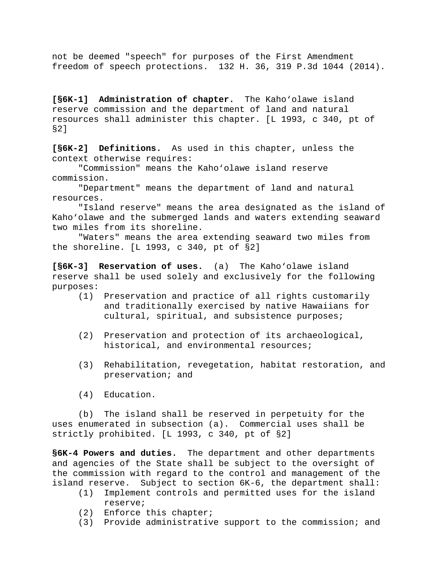not be deemed "speech" for purposes of the First Amendment freedom of speech protections. 132 H. 36, 319 P.3d 1044 (2014).

**[§6K-1] Administration of chapter.** The Kaho'olawe island reserve commission and the department of land and natural resources shall administer this chapter. [L 1993, c 340, pt of §2]

**[§6K-2] Definitions.** As used in this chapter, unless the context otherwise requires:

 "Commission" means the Kaho'olawe island reserve commission.

 "Department" means the department of land and natural resources.

 "Island reserve" means the area designated as the island of Kaho'olawe and the submerged lands and waters extending seaward two miles from its shoreline.

 "Waters" means the area extending seaward two miles from the shoreline. [L 1993, c 340, pt of §2]

**[§6K-3] Reservation of uses.** (a) The Kaho'olawe island reserve shall be used solely and exclusively for the following purposes:

- (1) Preservation and practice of all rights customarily and traditionally exercised by native Hawaiians for cultural, spiritual, and subsistence purposes;
- (2) Preservation and protection of its archaeological, historical, and environmental resources;
- (3) Rehabilitation, revegetation, habitat restoration, and preservation; and
- (4) Education.

 (b) The island shall be reserved in perpetuity for the uses enumerated in subsection (a). Commercial uses shall be strictly prohibited. [L 1993, c 340, pt of §2]

**§6K-4 Powers and duties.** The department and other departments and agencies of the State shall be subject to the oversight of the commission with regard to the control and management of the island reserve. Subject to section 6K-6, the department shall:

- (1) Implement controls and permitted uses for the island reserve;
- (2) Enforce this chapter;
- (3) Provide administrative support to the commission; and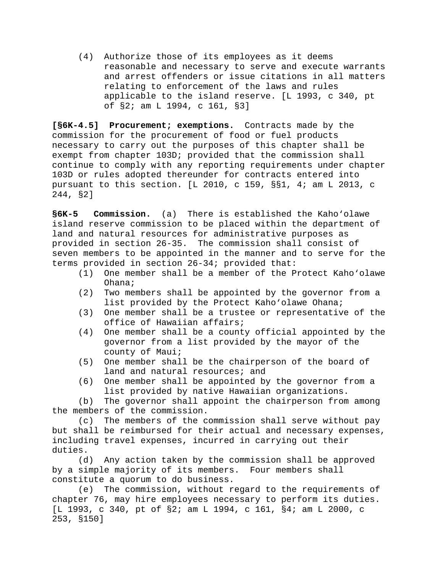(4) Authorize those of its employees as it deems reasonable and necessary to serve and execute warrants and arrest offenders or issue citations in all matters relating to enforcement of the laws and rules applicable to the island reserve. [L 1993, c 340, pt of §2; am L 1994, c 161, §3]

**[§6K-4.5] Procurement; exemptions.** Contracts made by the commission for the procurement of food or fuel products necessary to carry out the purposes of this chapter shall be exempt from chapter 103D; provided that the commission shall continue to comply with any reporting requirements under chapter 103D or rules adopted thereunder for contracts entered into pursuant to this section. [L 2010, c 159, §§1, 4; am L 2013, c 244, §2]

**§6K-5 Commission.** (a) There is established the Kaho'olawe island reserve commission to be placed within the department of land and natural resources for administrative purposes as provided in section 26-35. The commission shall consist of seven members to be appointed in the manner and to serve for the terms provided in section 26-34; provided that:

- (1) One member shall be a member of the Protect Kaho'olawe Ohana;
- (2) Two members shall be appointed by the governor from a list provided by the Protect Kaho'olawe Ohana;
- (3) One member shall be a trustee or representative of the office of Hawaiian affairs;
- (4) One member shall be a county official appointed by the governor from a list provided by the mayor of the county of Maui;
- (5) One member shall be the chairperson of the board of land and natural resources; and
- (6) One member shall be appointed by the governor from a list provided by native Hawaiian organizations.

 (b) The governor shall appoint the chairperson from among the members of the commission.

 (c) The members of the commission shall serve without pay but shall be reimbursed for their actual and necessary expenses, including travel expenses, incurred in carrying out their duties.

 (d) Any action taken by the commission shall be approved by a simple majority of its members. Four members shall constitute a quorum to do business.

 (e) The commission, without regard to the requirements of chapter 76, may hire employees necessary to perform its duties. [L 1993, c 340, pt of §2; am L 1994, c 161, §4; am L 2000, c 253, §150]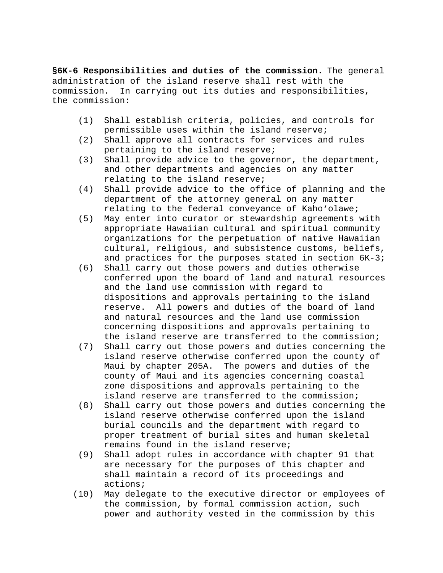**§6K-6 Responsibilities and duties of the commission.** The general administration of the island reserve shall rest with the commission. In carrying out its duties and responsibility In carrying out its duties and responsibilities, the commission:

- (1) Shall establish criteria, policies, and controls for permissible uses within the island reserve;
- (2) Shall approve all contracts for services and rules pertaining to the island reserve;
- (3) Shall provide advice to the governor, the department, and other departments and agencies on any matter relating to the island reserve;
- (4) Shall provide advice to the office of planning and the department of the attorney general on any matter relating to the federal conveyance of Kaho'olawe;
- (5) May enter into curator or stewardship agreements with appropriate Hawaiian cultural and spiritual community organizations for the perpetuation of native Hawaiian cultural, religious, and subsistence customs, beliefs, and practices for the purposes stated in section 6K-3;
- (6) Shall carry out those powers and duties otherwise conferred upon the board of land and natural resources and the land use commission with regard to dispositions and approvals pertaining to the island reserve. All powers and duties of the board of land and natural resources and the land use commission concerning dispositions and approvals pertaining to the island reserve are transferred to the commission;
- (7) Shall carry out those powers and duties concerning the island reserve otherwise conferred upon the county of Maui by chapter 205A. The powers and duties of the county of Maui and its agencies concerning coastal zone dispositions and approvals pertaining to the island reserve are transferred to the commission;
- (8) Shall carry out those powers and duties concerning the island reserve otherwise conferred upon the island burial councils and the department with regard to proper treatment of burial sites and human skeletal remains found in the island reserve;
- (9) Shall adopt rules in accordance with chapter 91 that are necessary for the purposes of this chapter and shall maintain a record of its proceedings and actions;
- (10) May delegate to the executive director or employees of the commission, by formal commission action, such power and authority vested in the commission by this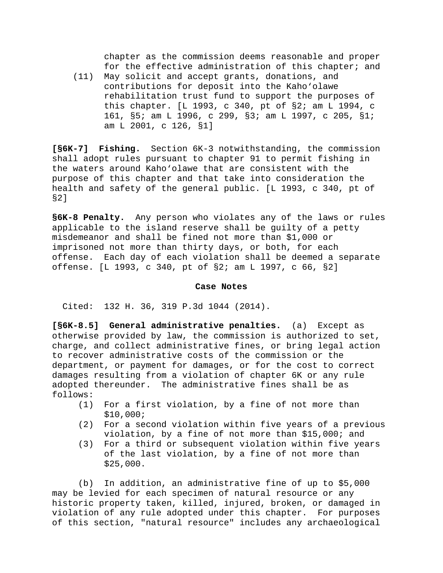chapter as the commission deems reasonable and proper for the effective administration of this chapter; and

 (11) May solicit and accept grants, donations, and contributions for deposit into the Kaho'olawe rehabilitation trust fund to support the purposes of this chapter. [L 1993, c 340, pt of §2; am L 1994, c 161, §5; am L 1996, c 299, §3; am L 1997, c 205, §1; am L 2001, c 126, §1]

**[§6K-7] Fishing.** Section 6K-3 notwithstanding, the commission shall adopt rules pursuant to chapter 91 to permit fishing in the waters around Kaho'olawe that are consistent with the purpose of this chapter and that take into consideration the health and safety of the general public. [L 1993, c 340, pt of §2]

**§6K-8 Penalty.** Any person who violates any of the laws or rules applicable to the island reserve shall be guilty of a petty misdemeanor and shall be fined not more than \$1,000 or imprisoned not more than thirty days, or both, for each offense. Each day of each violation shall be deemed a separate offense. [L 1993, c 340, pt of §2; am L 1997, c 66, §2]

### **Case Notes**

Cited: 132 H. 36, 319 P.3d 1044 (2014).

**[§6K-8.5] General administrative penalties.** (a) Except as otherwise provided by law, the commission is authorized to set, charge, and collect administrative fines, or bring legal action to recover administrative costs of the commission or the department, or payment for damages, or for the cost to correct damages resulting from a violation of chapter 6K or any rule adopted thereunder. The administrative fines shall be as follows:

- For a first violation, by a fine of not more than \$10,000;
- (2) For a second violation within five years of a previous violation, by a fine of not more than \$15,000; and
- (3) For a third or subsequent violation within five years of the last violation, by a fine of not more than \$25,000.

 (b) In addition, an administrative fine of up to \$5,000 may be levied for each specimen of natural resource or any historic property taken, killed, injured, broken, or damaged in violation of any rule adopted under this chapter. For purposes of this section, "natural resource" includes any archaeological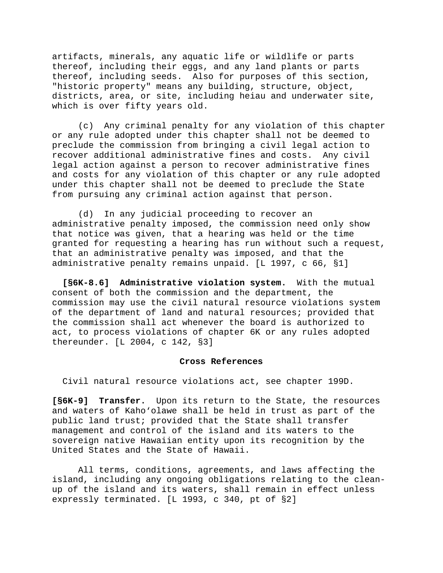artifacts, minerals, any aquatic life or wildlife or parts thereof, including their eggs, and any land plants or parts thereof, including seeds. Also for purposes of this section, "historic property" means any building, structure, object, districts, area, or site, including heiau and underwater site, which is over fifty years old.

 (c) Any criminal penalty for any violation of this chapter or any rule adopted under this chapter shall not be deemed to preclude the commission from bringing a civil legal action to recover additional administrative fines and costs. Any civil legal action against a person to recover administrative fines and costs for any violation of this chapter or any rule adopted under this chapter shall not be deemed to preclude the State from pursuing any criminal action against that person.

 (d) In any judicial proceeding to recover an administrative penalty imposed, the commission need only show that notice was given, that a hearing was held or the time granted for requesting a hearing has run without such a request, that an administrative penalty was imposed, and that the administrative penalty remains unpaid. [L 1997, c 66, §1]

**[§6K-8.6] Administrative violation system.** With the mutual consent of both the commission and the department, the commission may use the civil natural resource violations system of the department of land and natural resources; provided that the commission shall act whenever the board is authorized to act, to process violations of chapter 6K or any rules adopted thereunder. [L 2004, c 142, §3]

## **Cross References**

Civil natural resource violations act, see chapter 199D.

**[§6K-9] Transfer.** Upon its return to the State, the resources and waters of Kaho'olawe shall be held in trust as part of the public land trust; provided that the State shall transfer management and control of the island and its waters to the sovereign native Hawaiian entity upon its recognition by the United States and the State of Hawaii.

 All terms, conditions, agreements, and laws affecting the island, including any ongoing obligations relating to the cleanup of the island and its waters, shall remain in effect unless expressly terminated. [L 1993, c 340, pt of §2]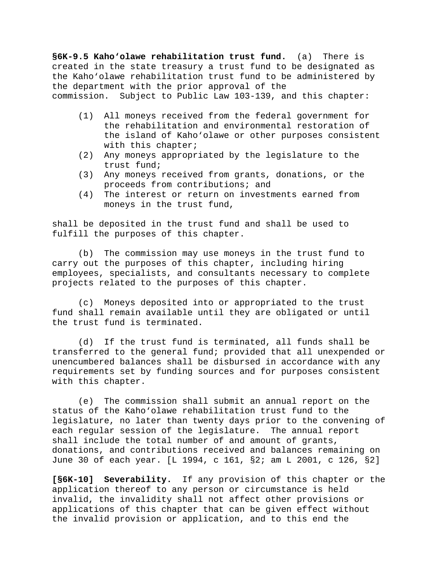**§6K-9.5 Kaho'olawe rehabilitation trust fund.** (a) There is created in the state treasury a trust fund to be designated as the Kaho'olawe rehabilitation trust fund to be administered by the department with the prior approval of the commission. Subject to Public Law 103-139, and this chapter:

- (1) All moneys received from the federal government for the rehabilitation and environmental restoration of the island of Kaho'olawe or other purposes consistent with this chapter;
- (2) Any moneys appropriated by the legislature to the trust fund;
- (3) Any moneys received from grants, donations, or the proceeds from contributions; and
- (4) The interest or return on investments earned from moneys in the trust fund,

shall be deposited in the trust fund and shall be used to fulfill the purposes of this chapter.

 (b) The commission may use moneys in the trust fund to carry out the purposes of this chapter, including hiring employees, specialists, and consultants necessary to complete projects related to the purposes of this chapter.

 (c) Moneys deposited into or appropriated to the trust fund shall remain available until they are obligated or until the trust fund is terminated.

 (d) If the trust fund is terminated, all funds shall be transferred to the general fund; provided that all unexpended or unencumbered balances shall be disbursed in accordance with any requirements set by funding sources and for purposes consistent with this chapter.

 (e) The commission shall submit an annual report on the status of the Kaho'olawe rehabilitation trust fund to the legislature, no later than twenty days prior to the convening of each regular session of the legislature. The annual report shall include the total number of and amount of grants, donations, and contributions received and balances remaining on June 30 of each year. [L 1994, c 161, §2; am L 2001, c 126, §2]

**[§6K-10] Severability.** If any provision of this chapter or the application thereof to any person or circumstance is held invalid, the invalidity shall not affect other provisions or applications of this chapter that can be given effect without the invalid provision or application, and to this end the